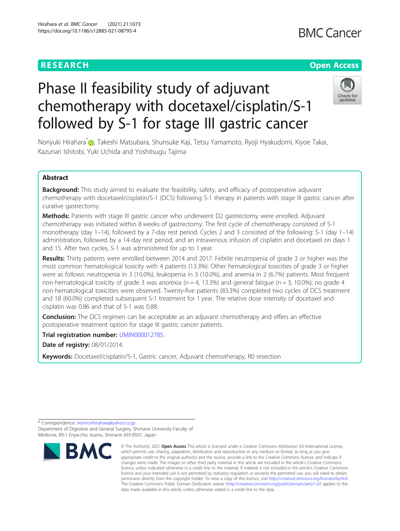### **RESEARCH CHE Open Access**

## **BMC Cancer**

# Phase II feasibility study of adjuvant chemotherapy with docetaxel/cisplatin/S-1 followed by S-1 for stage III gastric cancer



Noriyuki Hirahara<sup>[\\*](http://orcid.org/0000-0001-8684-6098)</sup> , Takeshi Matsubara, Shunsuke Kaji, Tetsu Yamamoto, Ryoji Hyakudomi, Kiyoe Takai, Kazunari Ishitobi, Yuki Uchida and Yoshitsugu Tajima

#### Abstract

Background: This study aimed to evaluate the feasibility, safety, and efficacy of postoperative adjuvant chemotherapy with docetaxel/cisplatin/S-1 (DCS) following S-1 therapy in patients with stage III gastric cancer after curative gastrectomy.

Methods: Patients with stage III gastric cancer who underwent D2 gastrectomy were enrolled. Adjuvant chemotherapy was initiated within 8 weeks of gastrectomy. The first cycle of chemotherapy consisted of S-1 monotherapy (day 1–14), followed by a 7-day rest period. Cycles 2 and 3 consisted of the following: S-1 (day 1–14) administration, followed by a 14-day rest period, and an intravenous infusion of cisplatin and docetaxel on days 1 and 15. After two cycles, S-1 was administered for up to 1 year.

Results: Thirty patients were enrolled between 2014 and 2017. Febrile neutropenia of grade 3 or higher was the most common hematological toxicity with 4 patients (13.3%). Other hematological toxicities of grade 3 or higher were as follows: neutropenia in 3 (10.0%), leukopenia in 3 (10.0%), and anemia in 2 (6.7%) patients. Most frequent non-hematological toxicity of grade 3 was anorexia ( $n = 4$ , 13.3%) and general fatigue ( $n = 3$ , 10.0%); no grade 4 non-hematological toxicities were observed. Twenty-five patients (83.3%) completed two cycles of DCS treatment and 18 (60.0%) completed subsequent S-1 treatment for 1 year. The relative dose intensity of docetaxel and cisplatin was 0.86 and that of S-1 was 0.88.

**Conclusion:** The DCS regimen can be acceptable as an adjuvant chemotherapy and offers an effective postoperative treatment option for stage III gastric cancer patients.

Trial registration number: [UMIN000012785](https://upload.umin.ac.jp/cgi-open-bin/ctr/ctr_view.cgi?recptno=R000014936).

Date of registry: 08/01/2014.

Keywords: Docetaxel/cisplatin/S-1, Gastric cancer, Adjuvant chemotherapy, R0 resection

<sup>\*</sup> Correspondence: [norinorihirahara@yahoo.co.jp](mailto:norinorihirahara@yahoo.co.jp) Department of Digestive and General Surgery, Shimane University Faculty of Medicine, 89-1 Enya-cho, Izumo, Shimane 693-8501, Japan



<sup>©</sup> The Author(s), 2021 **Open Access** This article is licensed under a Creative Commons Attribution 4.0 International License, which permits use, sharing, adaptation, distribution and reproduction in any medium or format, as long as you give appropriate credit to the original author(s) and the source, provide a link to the Creative Commons licence, and indicate if changes were made. The images or other third party material in this article are included in the article's Creative Commons licence, unless indicated otherwise in a credit line to the material. If material is not included in the article's Creative Commons licence and your intended use is not permitted by statutory regulation or exceeds the permitted use, you will need to obtain permission directly from the copyright holder. To view a copy of this licence, visit [http://creativecommons.org/licenses/by/4.0/.](http://creativecommons.org/licenses/by/4.0/) The Creative Commons Public Domain Dedication waiver [\(http://creativecommons.org/publicdomain/zero/1.0/](http://creativecommons.org/publicdomain/zero/1.0/)) applies to the data made available in this article, unless otherwise stated in a credit line to the data.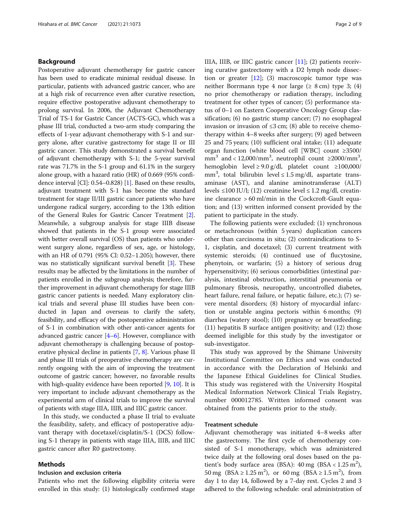#### Background

Postoperative adjuvant chemotherapy for gastric cancer has been used to eradicate minimal residual disease. In particular, patients with advanced gastric cancer, who are at a high risk of recurrence even after curative resection, require effective postoperative adjuvant chemotherapy to prolong survival. In 2006, the Adjuvant Chemotherapy Trial of TS-1 for Gastric Cancer (ACTS-GC), which was a phase III trial, conducted a two-arm study comparing the effects of 1-year adjuvant chemotherapy with S-1 and surgery alone, after curative gastrectomy for stage II or III gastric cancer. This study demonstrated a survival benefit of adjuvant chemotherapy with S-1; the 5-year survival rate was 71.7% in the S-1 group and 61.1% in the surgery alone group, with a hazard ratio (HR) of 0.669 (95% confidence interval [CI]: 0.54–0.828) [\[1\]](#page-7-0). Based on these results, adjuvant treatment with S-1 has become the standard treatment for stage II/III gastric cancer patients who have undergone radical surgery, according to the 13th edition of the General Rules for Gastric Cancer Treatment [[2](#page-7-0)]. Meanwhile, a subgroup analysis for stage IIIB disease showed that patients in the S-1 group were associated with better overall survival (OS) than patients who underwent surgery alone, regardless of sex, age, or histology, with an HR of 0.791 (95% CI: 0.52–1.205); however, there was no statistically significant survival benefit [\[3](#page-7-0)]. These results may be affected by the limitations in the number of patients enrolled in the subgroup analysis; therefore, further improvement in adjuvant chemotherapy for stage IIIB gastric cancer patients is needed. Many exploratory clinical trials and several phase III studies have been conducted in Japan and overseas to clarify the safety, feasibility, and efficacy of the postoperative administration of S-1 in combination with other anti-cancer agents for advanced gastric cancer [\[4](#page-7-0)–[6](#page-7-0)]. However, compliance with adjuvant chemotherapy is challenging because of postoperative physical decline in patients [\[7](#page-7-0), [8\]](#page-7-0). Various phase II and phase III trials of preoperative chemotherapy are currently ongoing with the aim of improving the treatment outcome of gastric cancer; however, no favorable results with high-quality evidence have been reported [\[9,](#page-7-0) [10](#page-7-0)]. It is very important to include adjuvant chemotherapy as the experimental arm of clinical trials to improve the survival of patients with stage IIIA, IIIB, and IIIC gastric cancer.

In this study, we conducted a phase II trial to evaluate the feasibility, safety, and efficacy of postoperative adjuvant therapy with docetaxel/cisplatin/S-1 (DCS) following S-1 therapy in patients with stage IIIA, IIIB, and IIIC gastric cancer after R0 gastrectomy.

#### Methods

#### Inclusion and exclusion criteria

Patients who met the following eligibility criteria were enrolled in this study: (1) histologically confirmed stage IIIA, IIIB, or IIIC gastric cancer [[11\]](#page-7-0); (2) patients receiving curative gastrectomy with a D2 lymph node dissection or greater  $[12]$ ; (3) macroscopic tumor type was neither Borrmann type 4 nor large ( $\geq 8$  cm) type 3; (4) no prior chemotherapy or radiation therapy, including treatment for other types of cancer; (5) performance status of 0–1 on Eastern Cooperative Oncology Group classification; (6) no gastric stump cancer; (7) no esophageal invasion or invasion of  $\leq$ 3 cm; (8) able to receive chemotherapy within 4–8 weeks after surgery; (9) aged between 25 and 75 years; (10) sufficient oral intake; (11) adequate organ function (white blood cell [WBC] count ≥3500/ mm<sup>3</sup> and < 12,000/mm<sup>3</sup>, neutrophil count  $\geq$ 2000/mm<sup>3</sup>, hemoglobin level ≥ 9.0 g/dl, platelet count ≥100,000/ mm<sup>3</sup>, total bilirubin level  $\leq$  1.5 mg/dl, aspartate transaminase (AST), and alanine aminotransferase (ALT) levels ≤100 IU/l; (12) creatinine level ≤ 1.2 mg/dl, creatinine clearance > 60 ml/min in the Cockcroft-Gault equation; and (13) written informed consent provided by the patient to participate in the study.

The following patients were excluded: (1) synchronous or metachronous (within 5 years) duplication cancers other than carcinoma in situ; (2) contraindications to S-1, cisplatin, and docetaxel; (3) current treatment with systemic steroids; (4) continued use of flucytosine, phenytoin, or warfarin; (5) a history of serious drug hypersensitivity; (6) serious comorbidities (intestinal paralysis, intestinal obstruction, interstitial pneumonia or pulmonary fibrosis, neuropathy, uncontrolled diabetes, heart failure, renal failure, or hepatic failure, etc.); (7) severe mental disorders; (8) history of myocardial infarction or unstable angina pectoris within 6 months; (9) diarrhea (watery stool); (10) pregnancy or breastfeeding; (11) hepatitis B surface antigen positivity; and (12) those deemed ineligible for this study by the investigator or sub-investigator.

This study was approved by the Shimane University Institutional Committee on Ethics and was conducted in accordance with the Declaration of Helsinki and the Japanese Ethical Guidelines for Clinical Studies. This study was registered with the University Hospital Medical Information Network Clinical Trials Registry, number 000012785. Written informed consent was obtained from the patients prior to the study.

#### Treatment schedule

Adjuvant chemotherapy was initiated 4–8 weeks after the gastrectomy. The first cycle of chemotherapy consisted of S-1 monotherapy, which was administered twice daily at the following oral doses based on the patient's body surface area (BSA):  $40 \text{ mg}$  (BSA <  $1.25 \text{ m}^2$ ), 50 mg (BSA  $\ge 1.25$  m<sup>2</sup>), or 60 mg (BSA  $\ge 1.5$  m<sup>2</sup>), from day 1 to day 14, followed by a 7-day rest. Cycles 2 and 3 adhered to the following schedule: oral administration of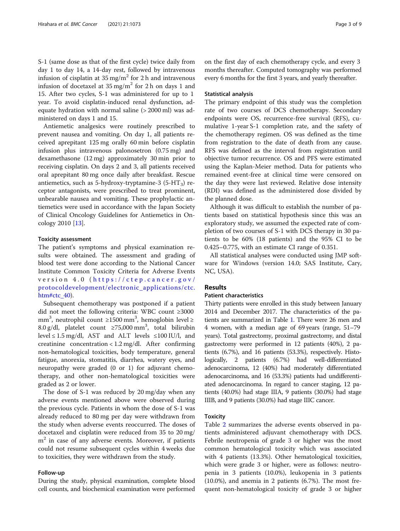S-1 (same dose as that of the first cycle) twice daily from day 1 to day 14, a 14-day rest, followed by intravenous infusion of cisplatin at  $35 \text{ mg/m}^2$  for 2 h and intravenous infusion of docetaxel at  $35 \text{ mg/m}^2$  for 2 h on days 1 and 15. After two cycles, S-1 was administered for up to 1 year. To avoid cisplatin-induced renal dysfunction, adequate hydration with normal saline (> 2000 ml) was administered on days 1 and 15.

Antiemetic analgesics were routinely prescribed to prevent nausea and vomiting. On day 1, all patients received aprepitant 125 mg orally 60 min before cisplatin infusion plus intravenous palonosetron (0.75 mg) and dexamethasone (12 mg) approximately 30 min prior to receiving cisplatin. On days 2 and 3, all patients received oral aprepitant 80 mg once daily after breakfast. Rescue antiemetics, such as 5-hydroxy-tryptamine-3 (5-HT<sub>3</sub>) receptor antagonists, were prescribed to treat prominent, unbearable nausea and vomiting. These prophylactic antiemetics were used in accordance with the Japan Society of Clinical Oncology Guidelines for Antiemetics in Oncology 2010 [[13](#page-7-0)].

#### Toxicity assessment

The patient's symptoms and physical examination results were obtained. The assessment and grading of blood test were done according to the National Cancer Institute Common Toxicity Criteria for Adverse Events version 4.0 ( [https://ctep.cancer.gov/](https://ctep.cancer.gov/protocoldevelopment/electronic_applications/ctc.htm#ctc_40) [protocoldevelopment/electronic\\_applications/ctc.](https://ctep.cancer.gov/protocoldevelopment/electronic_applications/ctc.htm#ctc_40) [htm#ctc\\_40\)](https://ctep.cancer.gov/protocoldevelopment/electronic_applications/ctc.htm#ctc_40).

Subsequent chemotherapy was postponed if a patient did not meet the following criteria: WBC count ≥3000 mm<sup>3</sup>, neutrophil count ≥1500 mm<sup>3</sup>, hemoglobin level≥ 8.0 g/dl, platelet count  $\geq$ 75,000 mm<sup>3</sup>, total bilirubin level ≤ 1.5 mg/dl, AST and ALT levels  $≤100$  IU/l, and creatinine concentration < 1.2 mg/dl. After confirming non-hematological toxicities, body temperature, general fatigue, anorexia, stomatitis, diarrhea, watery eyes, and neuropathy were graded (0 or 1) for adjuvant chemotherapy, and other non-hematological toxicities were graded as 2 or lower.

The dose of S-1 was reduced by 20 mg/day when any adverse events mentioned above were observed during the previous cycle. Patients in whom the dose of S-1 was already reduced to 80 mg per day were withdrawn from the study when adverse events reoccurred. The doses of docetaxel and cisplatin were reduced from 35 to 20 mg/  $m<sup>2</sup>$  in case of any adverse events. Moreover, if patients could not resume subsequent cycles within 4 weeks due to toxicities, they were withdrawn from the study.

#### Follow-up

During the study, physical examination, complete blood cell counts, and biochemical examination were performed on the first day of each chemotherapy cycle, and every 3 months thereafter. Computed tomography was performed every 6 months for the first 3 years, and yearly thereafter.

#### Statistical analysis

The primary endpoint of this study was the completion rate of two courses of DCS chemotherapy. Secondary endpoints were OS, recurrence-free survival (RFS), cumulative 1-year S-1 completion rate, and the safety of the chemotherapy regimen. OS was defined as the time from registration to the date of death from any cause. RFS was defined as the interval from registration until objective tumor recurrence. OS and PFS were estimated using the Kaplan-Meier method. Data for patients who remained event-free at clinical time were censored on the day they were last reviewed. Relative dose intensity (RDI) was defined as the administered dose divided by the planned dose.

Although it was difficult to establish the number of patients based on statistical hypothesis since this was an exploratory study, we assumed the expected rate of completion of two courses of S-1 with DCS therapy in 30 patients to be 60% (18 patients) and the 95% CI to be 0.425–0.775, with an estimate CI range of 0.351.

All statistical analyses were conducted using JMP software for Windows (version 14.0; SAS Institute, Cary, NC, USA).

#### Results

#### Patient characteristics

Thirty patients were enrolled in this study between January 2014 and December 2017. The characteristics of the patients are summarized in Table [1.](#page-3-0) There were 26 men and 4 women, with a median age of 69 years (range, 51–79 years). Total gastrectomy, proximal gastrectomy, and distal gastrectomy were performed in 12 patients (40%), 2 patients (6.7%), and 16 patients (53.3%), respectively. Histologically, 2 patients (6.7%) had well-differentiated adenocarcinoma, 12 (40%) had moderately differentiated adenocarcinoma, and 16 (53.3%) patients had undifferentiated adenocarcinoma. In regard to cancer staging, 12 patients (40.0%) had stage IIIA, 9 patients (30.0%) had stage IIIB, and 9 patients (30.0%) had stage IIIC cancer.

#### Toxicity

Table [2](#page-3-0) summarizes the adverse events observed in patients administered adjuvant chemotherapy with DCS. Febrile neutropenia of grade 3 or higher was the most common hematological toxicity which was associated with 4 patients (13.3%). Other hematological toxicities, which were grade 3 or higher, were as follows: neutropenia in 3 patients (10.0%), leukopenia in 3 patients (10.0%), and anemia in 2 patients (6.7%). The most frequent non-hematological toxicity of grade 3 or higher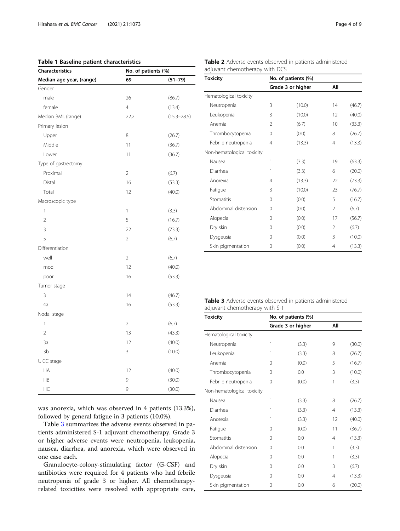#### <span id="page-3-0"></span>Table 1 Baseline patient characteristics

| <b>Characteristics</b>   | No. of patients (%) |                 |  |
|--------------------------|---------------------|-----------------|--|
| Median age year, (range) | 69                  | $(51 - 79)$     |  |
| Gender                   |                     |                 |  |
| male                     | 26                  | (86.7)          |  |
| female                   | $\overline{4}$      | (13.4)          |  |
| Median BMI, (range)      | 22.2                | $(15.3 - 28.5)$ |  |
| Primary lesion           |                     |                 |  |
| Upper                    | 8                   | (26.7)          |  |
| Middle                   | 11                  | (36.7)          |  |
| Lower                    | 11                  | (36.7)          |  |
| Type of gastrectomy      |                     |                 |  |
| Proximal                 | $\overline{2}$      | (6.7)           |  |
| Distal                   | 16                  | (53.3)          |  |
| Total                    | 12                  | (40.0)          |  |
| Macroscopic type         |                     |                 |  |
| 1                        | 1                   | (3.3)           |  |
| $\overline{2}$           | 5                   | (16.7)          |  |
| 3                        | 22                  | (73.3)          |  |
| 5                        | $\overline{2}$      | (6.7)           |  |
| Differentiation          |                     |                 |  |
| well                     | $\overline{2}$      | (6.7)           |  |
| mod                      | 12                  | (40.0)          |  |
| poor                     | 16                  | (53.3)          |  |
| Tumor stage              |                     |                 |  |
| 3                        | 14                  | (46.7)          |  |
| 4a                       | 16                  | (53.3)          |  |
| Nodal stage              |                     |                 |  |
| 1                        | $\overline{2}$      | (6.7)           |  |
| $\overline{2}$           | 13                  | (43.3)          |  |
| 3a                       | 12                  | (40.0)          |  |
| 3b                       | 3<br>(10.0)         |                 |  |
| UICC stage               |                     |                 |  |
| <b>IIIA</b>              | 12<br>(40.0)        |                 |  |
| <b>IIIB</b>              | 9                   | (30.0)          |  |
| IIIC                     | 9                   | (30.0)          |  |

was anorexia, which was observed in 4 patients (13.3%), followed by general fatigue in 3 patients (10.0%).

Table 3 summarizes the adverse events observed in patients administered S-1 adjuvant chemotherapy. Grade 3 or higher adverse events were neutropenia, leukopenia, nausea, diarrhea, and anorexia, which were observed in one case each.

Granulocyte-colony-stimulating factor (G-CSF) and antibiotics were required for 4 patients who had febrile neutropenia of grade 3 or higher. All chemotherapyrelated toxicities were resolved with appropriate care,

|  | Table 2 Adverse events observed in patients administered |  |  |
|--|----------------------------------------------------------|--|--|
|  | adjuvant chemotherapy with DCS                           |  |  |

| <b>Toxicity</b>            | No. of patients (%) |                   |                |        |  |  |
|----------------------------|---------------------|-------------------|----------------|--------|--|--|
|                            |                     | Grade 3 or higher |                |        |  |  |
| Hematological toxicity     |                     |                   |                |        |  |  |
| Neutropenia                | 3                   | (10.0)            | 14             | (46.7) |  |  |
| Leukopenia                 | 3                   | (10.0)            | 12             | (40.0) |  |  |
| Anemia                     | 2                   | (6.7)             | 10             | (33.3) |  |  |
| Thrombocytopenia           | $\Omega$            | (0.0)             | 8              | (26.7) |  |  |
| Febrile neutropenia        | 4                   | (13.3)            | 4              | (13.3) |  |  |
| Non-hematological toxicity |                     |                   |                |        |  |  |
| Nausea                     | 1                   | (3.3)             | 19             | (63.3) |  |  |
| Diarrhea                   | 1                   | (3.3)             | 6              | (20.0) |  |  |
| Anorexia                   | 4                   | (13.3)            | 22             | (73.3) |  |  |
| Fatigue                    | 3                   | (10.0)            | 23             | (76.7) |  |  |
| Stomatitis                 | $\Omega$            | (0.0)             | 5              | (16.7) |  |  |
| Abdominal distension       | $\Omega$            | (0.0)             | $\mathfrak{D}$ | (6.7)  |  |  |
| Alopecia                   | $\Omega$            | (0.0)             | 17             | (56.7) |  |  |
| Dry skin                   | $\Omega$            | (0.0)             | 2              | (6.7)  |  |  |
| Dysgeusia                  | $\Omega$            | (0.0)             | 3              | (10.0) |  |  |
| Skin pigmentation          | 0                   | (0.0)             | 4              | (13.3) |  |  |

|                                |  |  | Table 3 Adverse events observed in patients administered |  |
|--------------------------------|--|--|----------------------------------------------------------|--|
| adjuvant chemotherapy with S-1 |  |  |                                                          |  |

| <b>Toxicity</b>            | No. of patients (%) |                   |                |        |  |  |
|----------------------------|---------------------|-------------------|----------------|--------|--|--|
|                            |                     | Grade 3 or higher | All            |        |  |  |
| Hematological toxicity     |                     |                   |                |        |  |  |
| Neutropenia                | 1                   | (3.3)             | 9              | (30.0) |  |  |
| Leukopenia                 | 1                   | (3.3)             | 8              | (26.7) |  |  |
| Anemia                     | 0                   | (0.0)             | 5              | (16.7) |  |  |
| Thrombocytopenia           | $\Omega$            | 0.0               | 3              | (10.0) |  |  |
| Febrile neutropenia        | $\Omega$            | (0.0)             | 1              | (3.3)  |  |  |
| Non-hematological toxicity |                     |                   |                |        |  |  |
| Nausea                     | 1                   | (3.3)             | 8              | (26.7) |  |  |
| Diarrhea                   | 1                   | (3.3)             | $\overline{4}$ | (13.3) |  |  |
| Anorexia                   | 1                   | (3.3)             | 12             | (40.0) |  |  |
| Fatigue                    | $\Omega$            | (0.0)             | 11             | (36.7) |  |  |
| Stomatitis                 | $\Omega$            | 0.0               | 4              | (13.3) |  |  |
| Abdominal distension       | $\Omega$            | 0.0               | 1              | (3.3)  |  |  |
| Alopecia                   | 0                   | 0.0               | 1              | (3.3)  |  |  |
| Dry skin                   | 0                   | 0.0               | 3              | (6.7)  |  |  |
| Dysgeusia                  | 0                   | 0.0               | 4              | (13.3) |  |  |
| Skin pigmentation          | 0                   | 0.0               | 6              | (20.0) |  |  |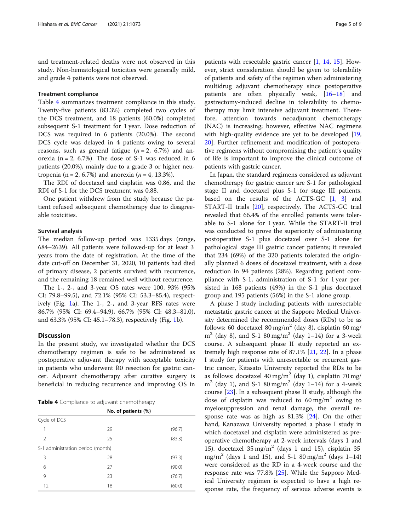and treatment-related deaths were not observed in this study. Non-hematological toxicities were generally mild, and grade 4 patients were not observed.

#### Treatment compliance

Table 4 summarizes treatment compliance in this study. Twenty-five patients (83.3%) completed two cycles of the DCS treatment, and 18 patients (60.0%) completed subsequent S-1 treatment for 1 year. Dose reduction of DCS was required in 6 patients (20.0%). The second DCS cycle was delayed in 4 patients owing to several reasons, such as general fatigue ( $n = 2$ , 6.7%) and anorexia ( $n = 2$ , 6.7%). The dose of S-1 was reduced in 6 patients (20.0%), mainly due to a grade 3 or higher neutropenia (n = 2, 6.7%) and anorexia ( $n = 4$ , 13.3%).

The RDI of docetaxel and cisplatin was 0.86, and the RDI of S-1 for the DCS treatment was 0.88.

One patient withdrew from the study because the patient refused subsequent chemotherapy due to disagreeable toxicities.

#### Survival analysis

The median follow-up period was 1335 days (range, 684–2639). All patients were followed-up for at least 3 years from the date of registration. At the time of the date cut-off on December 31, 2020, 10 patients had died of primary disease, 2 patients survived with recurrence, and the remaining 18 remained well without recurrence.

The 1-, 2-, and 3-year OS rates were 100, 93% (95% CI: 79.8–99.5), and 72.1% (95% CI: 53.3–85.4), respectively (Fig. [1a](#page-5-0)). The 1-, 2-, and 3-year RFS rates were 86.7% (95% CI: 69.4–94.9), 66.7% (95% CI: 48.3–81.0), and 63.3% (95% CI: 45.1–78.3), respectively (Fig. [1b](#page-5-0)).

#### **Discussion**

In the present study, we investigated whether the DCS chemotherapy regimen is safe to be administered as postoperative adjuvant therapy with acceptable toxicity in patients who underwent R0 resection for gastric cancer. Adjuvant chemotherapy after curative surgery is beneficial in reducing recurrence and improving OS in

Table 4 Compliance to adjuvant chemotherapy

| No. of patients (%)               |    |        |  |  |
|-----------------------------------|----|--------|--|--|
| Cycle of DCS                      |    |        |  |  |
| 1                                 | 29 | (96.7) |  |  |
| $\mathfrak{D}$                    | 25 | (83.3) |  |  |
| S-1 administration period (month) |    |        |  |  |
| 3                                 | 28 | (93.3) |  |  |
| 6                                 | 27 | (90.0) |  |  |
| 9                                 | 23 | (76.7) |  |  |
| 12                                | 18 | (60.0) |  |  |

patients with resectable gastric cancer [\[1](#page-7-0), [14,](#page-7-0) [15](#page-7-0)]. However, strict consideration should be given to tolerability of patients and safety of the regimen when administering multidrug adjuvant chemotherapy since postoperative patients are often physically weak, [[16](#page-7-0)–[18\]](#page-7-0) and gastrectomy-induced decline in tolerability to chemotherapy may limit intensive adjuvant treatment. Therefore, attention towards neoadjuvant chemotherapy (NAC) is increasing; however, effective NAC regimens with high-quality evidence are yet to be developed [[19](#page-7-0), [20\]](#page-7-0). Further refinement and modification of postoperative regimens without compromising the patient's quality of life is important to improve the clinical outcome of patients with gastric cancer.

In Japan, the standard regimens considered as adjuvant chemotherapy for gastric cancer are S-1 for pathological stage II and docetaxel plus S-1 for stage III patients, based on the results of the ACTS-GC [\[1](#page-7-0), [3](#page-7-0)] and START-II trials [\[20\]](#page-7-0), respectively. The ACTS-GC trial revealed that 66.4% of the enrolled patients were tolerable to S-1 alone for 1 year. While the START-II trial was conducted to prove the superiority of administering postoperative S-1 plus docetaxel over S-1 alone for pathological stage III gastric cancer patients; it revealed that 234 (69%) of the 320 patients tolerated the originally planned 6 doses of docetaxel treatment, with a dose reduction in 94 patients (28%). Regarding patient compliance with S-1, administration of S-1 for 1 year persisted in 168 patients (49%) in the S-1 plus docetaxel group and 195 patients (56%) in the S-1 alone group.

A phase I study including patients with unresectable metastatic gastric cancer at the Sapporo Medical University determined the recommended doses (RDs) to be as follows: 60 docetaxel 80 mg/m<sup>2</sup> (day 8), cisplatin 60 mg/  $m^{2}$  (day 8), and S-1 80 mg/m<sup>2</sup> (day 1–14) for a 3-week course. A subsequent phase II study reported an extremely high response rate of 87.1% [\[21,](#page-7-0) [22](#page-7-0)]. In a phase I study for patients with unresectable or recurrent gastric cancer, Kitasato University reported the RDs to be as follows: docetaxel 40 mg/m<sup>2</sup> (day 1), cisplatin 70 mg/  $m^2$  (day 1), and S-1 80 mg/m<sup>2</sup> (day 1–14) for a 4-week course [[23](#page-7-0)]. In a subsequent phase II study, although the dose of cisplatin was reduced to  $60 \text{ mg/m}^2$  owing to myelosuppression and renal damage, the overall response rate was as high as 81.3% [\[24](#page-7-0)]. On the other hand, Kanazawa University reported a phase I study in which docetaxel and cisplatin were administered as preoperative chemotherapy at 2-week intervals (days 1 and 15). docetaxel  $35 \text{ mg/m}^2$  (days 1 and 15), cisplatin 35 mg/m<sup>2</sup> (days 1 and 15), and S-1 80 mg/m<sup>2</sup> (days 1–14) were considered as the RD in a 4-week course and the response rate was 77.8% [[25\]](#page-8-0). While the Sapporo Medical University regimen is expected to have a high response rate, the frequency of serious adverse events is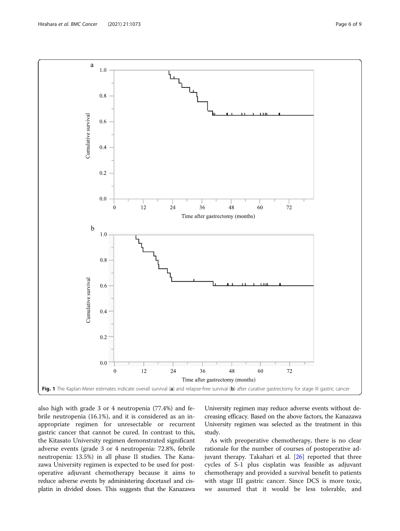<span id="page-5-0"></span>

also high with grade 3 or 4 neutropenia (77.4%) and febrile neutropenia (16.1%), and it is considered as an inappropriate regimen for unresectable or recurrent gastric cancer that cannot be cured. In contrast to this, the Kitasato University regimen demonstrated significant adverse events (grade 3 or 4 neutropenia: 72.8%, febrile neutropenia: 13.5%) in all phase II studies. The Kanazawa University regimen is expected to be used for postoperative adjuvant chemotherapy because it aims to reduce adverse events by administering docetaxel and cisplatin in divided doses. This suggests that the Kanazawa University regimen may reduce adverse events without decreasing efficacy. Based on the above factors, the Kanazawa University regimen was selected as the treatment in this study.

As with preoperative chemotherapy, there is no clear rationale for the number of courses of postoperative adjuvant therapy. Takahari et al. [[26](#page-8-0)] reported that three cycles of S-1 plus cisplatin was feasible as adjuvant chemotherapy and provided a survival benefit to patients with stage III gastric cancer. Since DCS is more toxic, we assumed that it would be less tolerable, and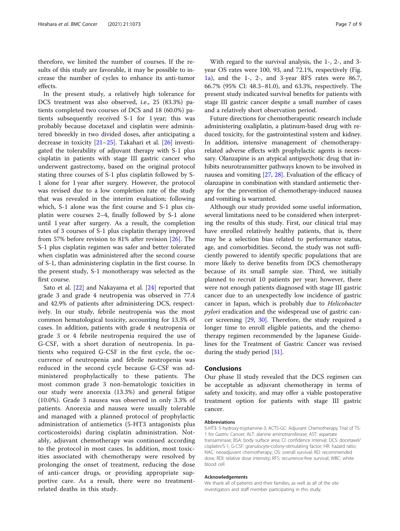therefore, we limited the number of courses. If the results of this study are favorable, it may be possible to increase the number of cycles to enhance its anti-tumor effects.

In the present study, a relatively high tolerance for DCS treatment was also observed, i.e., 25 (83.3%) patients completed two courses of DCS and 18 (60.0%) patients subsequently received S-1 for 1 year; this was probably because docetaxel and cisplatin were administered biweekly in two divided doses, after anticipating a decrease in toxicity [\[21](#page-7-0)–[25\]](#page-8-0). Takahari et al. [\[26\]](#page-8-0) investigated the tolerability of adjuvant therapy with S-1 plus cisplatin in patients with stage III gastric cancer who underwent gastrectomy, based on the original protocol stating three courses of S-1 plus cisplatin followed by S-1 alone for 1 year after surgery. However, the protocol was revised due to a low completion rate of the study that was revealed in the interim evaluation; following which, S-1 alone was the first course and S-1 plus cisplatin were courses 2–4, finally followed by S-1 alone until 1 year after surgery. As a result, the completion rates of 3 courses of S-1 plus cisplatin therapy improved from 57% before revision to 81% after revision [[26\]](#page-8-0). The S-1 plus cisplatin regimen was safer and better tolerated when cisplatin was administered after the second course of S-1, than administering cisplatin in the first course. In the present study, S-1 monotherapy was selected as the first course.

Sato et al. [\[22](#page-7-0)] and Nakayama et al. [[24\]](#page-7-0) reported that grade 3 and grade 4 neutropenia was observed in 77.4 and 42.9% of patients after administering DCS, respectively. In our study, febrile neutropenia was the most common hematological toxicity, accounting for 13.3% of cases. In addition, patients with grade 4 neutropenia or grade 3 or 4 febrile neutropenia required the use of G-CSF, with a short duration of neutropenia. In patients who required G-CSF in the first cycle, the occurrence of neutropenia and febrile neutropenia was reduced in the second cycle because G-CSF was administered prophylactically to these patients. The most common grade 3 non-hematologic toxicities in our study were anorexia (13.3%) and general fatigue (10.0%). Grade 3 nausea was observed in only 3.3% of patients. Anorexia and nausea were usually tolerable and managed with a planned protocol of prophylactic administration of antiemetics (5-HT3 antagonists plus corticosteroids) during cisplatin administration. Notably, adjuvant chemotherapy was continued according to the protocol in most cases. In addition, most toxicities associated with chemotherapy were resolved by prolonging the onset of treatment, reducing the dose of anti-cancer drugs, or providing appropriate supportive care. As a result, there were no treatmentrelated deaths in this study.

With regard to the survival analysis, the 1-, 2-, and 3 year OS rates were 100, 93, and 72.1%, respectively (Fig. [1a](#page-5-0)), and the 1-, 2-, and 3-year RFS rates were 86.7, 66.7% (95% CI: 48.3–81.0), and 63.3%, respectively. The present study indicated survival benefits for patients with stage III gastric cancer despite a small number of cases and a relatively short observation period.

Future directions for chemotherapeutic research include administering oxaliplatin, a platinum-based drug with reduced toxicity, for the gastrointestinal system and kidney. In addition, intensive management of chemotherapyrelated adverse effects with prophylactic agents is necessary. Olanzapine is an atypical antipsychotic drug that inhibits neurotransmitter pathways known to be involved in nausea and vomiting [\[27,](#page-8-0) [28\]](#page-8-0). Evaluation of the efficacy of olanzapine in combination with standard antiemetic therapy for the prevention of chemotherapy-induced nausea and vomiting is warranted.

Although our study provided some useful information, several limitations need to be considered when interpreting the results of this study. First, our clinical trial may have enrolled relatively healthy patients, that is, there may be a selection bias related to performance status, age, and comorbidities. Second, the study was not sufficiently powered to identify specific populations that are more likely to derive benefits from DCS chemotherapy because of its small sample size. Third, we initially planned to recruit 10 patients per year; however, there were not enough patients diagnosed with stage III gastric cancer due to an unexpectedly low incidence of gastric cancer in Japan, which is probably due to Helicobacter pylori eradication and the widespread use of gastric cancer screening [\[29,](#page-8-0) [30](#page-8-0)]. Therefore, the study required a longer time to enroll eligible patients, and the chemotherapy regimen recommended by the Japanese Guidelines for the Treatment of Gastric Cancer was revised during the study period [[31](#page-8-0)].

#### Conclusions

Our phase II study revealed that the DCS regimen can be acceptable as adjuvant chemotherapy in terms of safety and toxicity, and may offer a viable postoperative treatment option for patients with stage III gastric cancer.

#### Abbreviations

5-HT3: 5-hydroxy-tryptamine-3; ACTS-GC: Adjuvant Chemotherapy Trial of TS-1 for Gastric Cancer; ALT: alanine aminotransferase; AST: aspartate transaminase; BSA: body surface area; CI: confidence interval; DCS: docetaxel/ cisplatin/S-1; G-CSF: granulocyte-colony-stimulating factor; HR: hazard ratio; NAC: neoadjuvant chemotherapy; OS: overall survival; RD: recommended dose; RDI: relative dose intensity; RFS: recurrence-free survival; WBC: white blood cell

#### Acknowledgements

We thank all of patients and their families, as well as all of the site investigators and staff member participating in this study.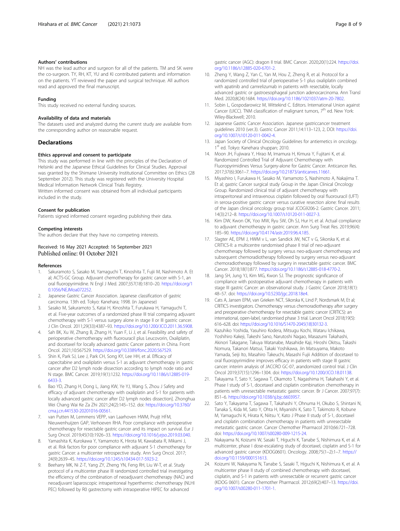#### <span id="page-7-0"></span>Authors' contributions

NH was the lead author and surgeon for all of the patients. TM and SK were the co-surgeon. TY, RH, KT, YU and KI contributed patients and information on the patients. YT reviewed the paper and surgical technique. All authors read and approved the final manuscript.

#### Funding

This study received no external funding sources.

#### Availability of data and materials

The datasets used and analyzed during the current study are available from the corresponding author on reasonable request.

#### Declarations

#### Ethics approval and consent to participate

This study was performed in line with the principles of the Declaration of Helsinki and the Japanese Ethical Guidelines for Clinical Studies. Approval was granted by the Shimane University Institutional Committee on Ethics (28 September 2012). This study was registered with the University Hospital Medical Information Network Clinical Trials Registry.

Written informed consent was obtained from all individual participants included in the study.

#### Consent for publication

Patients signed informed consent regarding publishing their data.

#### Competing interests

The authors declare that they have no competing interests.

#### Received: 16 May 2021 Accepted: 16 September 2021 Published online: 01 October 2021

#### References

- 1. Sakuramoto S, Sasako M, Yamaguchi T, Kinoshita T, Fujii M, Nashimoto A. Et al; ACTS-GC Group. Adjuvant chemotherapy for gastric cancer with S-1, an oral fluoropyrimidine. N Engl J Med. 2007;357(18):1810–20. [https://doi.org/1](https://doi.org/10.1056/NEJMoa072252) [0.1056/NEJMoa072252.](https://doi.org/10.1056/NEJMoa072252)
- 2. Japanese Gastric Cancer Association. Japanese classification of gastric carcinoma. 13th ed. Tokyo: Kanehara; 1998. (in Japanese)
- Sasako M, Sakuramoto S, Katai H, Kinoshita T, Furukawa H, Yamaguchi T, et al. Five-year outcomes of a randomized phase III trial comparing adjuvant chemotherapy with S-1 versus surgery alone in stage II or III gastric cancer. J Clin Oncol. 2011;29(33):4387–93. <https://doi.org/10.1200/JCO.2011.36.5908>.
- Sah BK, Xu W, Zhang B, Zhang H, Yuan F, Li J, et al. Feasibility and safety of perioperative chemotherapy with fluorouracil plus Leucovorin, Oxaliplatin, and docetaxel for locally advanced gastric Cancer patients in China. Front Oncol. 2021;10:567529. [https://doi.org/10.3389/fonc.2020.567529.](https://doi.org/10.3389/fonc.2020.567529)
- 5. Shin K, Park SJ, Lee J, Park CH, Song KY, Lee HH, et al. Efficacy of capecitabine and oxaliplatin versus S-1 as adjuvant chemotherapy in gastric cancer after D2 lymph node dissection according to lymph node ratio and N stage. BMC Cancer. 2019;19(1):1232. [https://doi.org/10.1186/s12885-019-](https://doi.org/10.1186/s12885-019-6433-3) [6433-3.](https://doi.org/10.1186/s12885-019-6433-3)
- Bao YD, Zhang H, Dong L, Jiang KW, Ye YJ, Wang S, Zhou J Safety and efficacy of adjuvant chemotherapy with oxaliplatin and S-1 for patients with locally advanced gastric cancer after D2 lymph nodes dissection]. Zhonghua Wei Chang Wai Ke Za Zhi 2021;24(2):145–152. doi: [https://doi.org/10.3760/](https://doi.org/10.3760/cma.j.cn.441530-20201016-00561) [cma.j.cn.441530-20201016-00561.](https://doi.org/10.3760/cma.j.cn.441530-20201016-00561)
- 7. van Putten M, Lemmens VEPP, van Laarhoven HWM, Pruijt HFM, Nieuwenhuijzen GAP, Verhoeven RHA. Poor compliance with perioperative chemotherapy for resectable gastric cancer and its impact on survival. Eur J Surg Oncol. 2019;45(10):1926–33. <https://doi.org/10.1016/j.ejso.2019.03.040>.
- 8. Yamashita K, Kurokawa Y, Yamamoto K, Hirota M, Kawabata R, Mikami J, et al. Risk factors for poor compliance with adjuvant S-1 chemotherapy for gastric Cancer: a multicenter retrospective study. Ann Surg Oncol. 2017; 24(9):2639–45. [https://doi.org/10.1245/s10434-017-5923-2.](https://doi.org/10.1245/s10434-017-5923-2)
- Beeharry MK, Ni Z-T, Yang ZY, Zheng YN, Feng RH, Liu W-T, et al. Study protocol of a multicenter phase III randomized controlled trial investigating the efficiency of the combination of neoadjuvant chemotherapy (NAC) and neoadjuvant laparoscopic intraperitoneal hyperthermic chemotherapy (NLHI PEC) followed by R0 gastrectomy with intraoperative HIPEC for advanced
- 10. Zheng Y, Wang Z, Yan C, Yan M, Hou Z, Zheng R, et al. Protocol for a randomized controlled trial of perioperative S-1 plus oxaliplatin combined with apatinib and camrelizumab in patients with resectable, locally advanced gastric or gastroesophageal junction adenocarcinoma. Ann Transl Med. 2020;8(24):1684. <https://doi.org/10.1186/1021037/atm-20-7802>.
- 11. Sobin L, Gospodarowicz M, Wittekind C. Editors. International Union against Cancer (UICC). TNM classification of malignant tumors, 7<sup>th</sup> ed. New York: Wiley-Blackwell; 2010.
- 12. Japanese Gastric Cancer Association. Japanese gastriccancer treatment guidelines 2010 (ver.3). Gastric Cancer 2011;14:113–123, 2, DOI: [https://doi.](https://doi.org/10.1007/s10120-011-0042-4) [org/10.1007/s10120-011-0042-4](https://doi.org/10.1007/s10120-011-0042-4).
- 13. Japan Society of Clinical Oncology Guidelines for antiemetics in oncology. 1st ed. Tokyo: Kanehara shuppan; 2010.
- 14. Moon JH, Fujiwara Y, Hirao M, Imamura H, Kimura Y, Fujitani K, et al. Randomized Controlled Trial of Adjuvant Chemotherapy with Fluoropyrimidines Versus Surgery-alone for Gastric Cancer. Anticancer Res. 2017;37(6):3061–7. <https://doi.org/10.21873/anticanres.11661>.
- 15. Miyashiro I, Furukawa H, Sasako M, Yamamoto S, Nashimoto A, Nakajima T. Et al; gastric Cancer surgical study Group in the Japan Clinical Oncology Group. Randomized clinical trial of adjuvant chemotherapy with intraperitoneal and intravenous cisplatin followed by oral fluorouracil (UFT) in serosa-positive gastric cancer versus curative resection alone: final results of the Japan clinical oncology group trial JCOG9206-2. Gastric Cancer. 2011; 14(3):212–8. [https://doi.org/10.1007/s10120-011-0027-3.](https://doi.org/10.1007/s10120-011-0027-3)
- 16. Kim DW, Kwon OK, Yoo MW, Ryu SW, Oh SJ, Hur H, et al. Actual compliance to adjuvant chemotherapy in gastric cancer. Ann Surg Treat Res. 2019;96(4): 185–90. [https://doi.org/10.4174/astr.2019.96.4.185.](https://doi.org/10.4174/astr.2019.96.4.185)
- 17. Slagter AE, EPM J, HWM v L, van Sandick JW, NCT v G, Sikorska K, et al. CRITICS-II: a multicentre randomised phase II trial of neo-adjuvant chemotherapy followed by surgery versus neo-adjuvant chemotherapy and subsequent chemoradiotherapy followed by surgery versus neo-adjuvant chemoradiotherapy followed by surgery in resectable gastric cancer. BMC Cancer. 2018;18(1):877. [https://doi.org/10.1186/s12885-018-4770-2.](https://doi.org/10.1186/s12885-018-4770-2)
- 18. Jang SH, Jung YJ, Kim MG, Kwon SJ. The prognostic significance of compliance with postoperative adjuvant chemotherapy in patients with stage III gastric Cancer: an observational study. J Gastric Cancer 2018;18(1): 48–57. doi: <https://doi.org/10.5230/jgc.2018.18e4>.
- 19. Cats A, Jansen EPM, van Grieken NCT, Sikorska K, Lind P, Nordsmark M, Et al; CRITICS investigators. Chemotherapy versus chemoradiotherapy after surgery and preoperative chemotherapy for resectable gastric cancer (CRITICS): an international, open-label, randomised phase 3 trial. Lancet Oncol 2018;19(5): 616–628. doi: [https://doi.org/10.1016/S1470-2045\(18\)30132-3.](https://doi.org/10.1016/S1470-2045(18)30132-3)
- 20. Kazuhiko Yoshida, Yasuhiro Kodera, Mitsugu Kochi, Wataru Ichikawa, Yoshihiro Kakeji, Takeshi Sano, Narutoshi Nagao, Masazumi Takahashi, Akinori Takagane, Takuya Watanabe, Masahide Kaji, Hiroshi Okitsu, Takashi Nomura, Takanori Matsui, Takaki Yoshikawa, Jin Matsuyama, Makoto Yamada, Seiji Ito, Masahiro Takeuchi, Masashi Fujii Addition of docetaxel to oral fluoropyrimidine improves efficacy in patients with stage III gastric cancer: interim analysis of JACCRO GC-07, arandomized control trial. J Clin Oncol 2019;37(15):1296–1304. doi: [https://doi.org/10.1200/JCO.18.01138.](https://doi.org/10.1200/JCO.18.01138)
- 21. Takayama T, Sato Y, Sagawa T, Okamoto T, Nagashima H, Takahashi Y, et al. Phase I study of S-1, docetaxel and cisplatin combination chemotherapy in patients with unresectable metastatic gastric cancer. Br J Cancer. 2007;97(7): 851–6. <https://doi.org/10.1038/sj.bjc.6603957>.
- 22. Sato Y, Takayama T, Sagawa T, Takahashi Y, Ohnuma H, Okubo S, Shintani N, Tanaka S, Kida M, Sato Y, Ohta H, Miyanishi K, Sato T, Takimoto R, Kobune M, Yamaguchi K, Hirata K, Niitsu Y, Kato J Phase II study of S-1, docetaxel and cisplatin combination chemotherapy in patients with unresectable metastatic gastric cancer. Cancer Chemother Pharmacol 2010;66:721–728. doi: [https://doi.org/10.1007/s00280-009-1215-24.](https://doi.org/10.1007/s00280-009-1215-24)
- 23. Nakayama N, Koizumi W, Sasaki T, Higuchi K, Tanabe S, Nishimura K, et al. A multicenter, phase I dose-escalating study of docetaxel, cisplatin and S-1 for advanced gastric cancer (KDOG0601). Oncology. 2008;75(1–2):1–7. [https://](https://doi.org/10.1159/000151613) [doi.org/10.1159/000151613](https://doi.org/10.1159/000151613).
- 24. Koizumi W, Nakayama N, Tanabe S, Sasaki T, Higuchi K, Nishimura K, et al. A multicenter phase II study of combined chemotherapy with docetaxel, cisplatin, and S-1 in patients with unresectable or recurrent gastric cancer (KDOG 0601). Cancer Chemother Pharmacol. 2012;69(2):407–13. [https://doi.](https://doi.org/10.1007/s00280-011-1701-1) [org/10.1007/s00280-011-1701-1](https://doi.org/10.1007/s00280-011-1701-1).